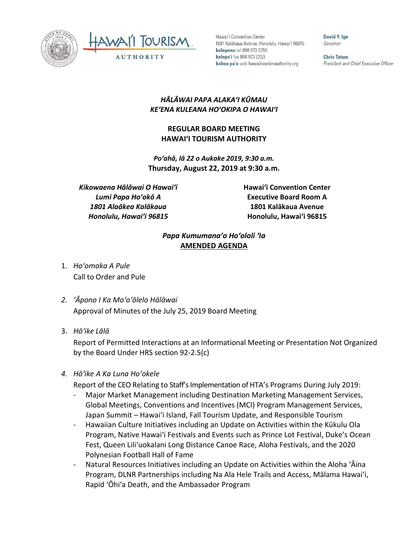



Hawai'i Convention Center 1801 Kalākaua Avenue, Honolulu, Hawai'i 96815 kelepona tel 808 973 2255 kelepa'i fax 808 973 2253 kahua pa'a web hawaiitourismauthority.org

David Y. Ine Governor

**Chris Tatum** President and Chief Executive Officer

## *HĀLĀWAI PAPA ALAKAʻI KŪMAU KEʻENA KULEANA HOʻOKIPA O HAWAIʻI*

## **REGULAR BOARD MEETING HAWAI'I TOURISM AUTHORITY**

*Poʻahā, lā 22 o Aukake 2019, 9:30 a.m.* **Thursday, August 22, 2019 at 9:30 a.m.**

*Kikowaena Hālāwai O Hawaiʻi Lumi Papa Hoʻokō A 1801 Alaākea Kalākaua Honolulu, Hawaiʻi 96815*

**Hawai'i Convention Center Executive Board Room A 1801 Kalākaua Avenue Honolulu, Hawai'i 96815**

## *Papa Kumumanaʻo Hoʻololi ʻIa* **AMENDED AGENDA**

- 1. *Ho'omaka A Pule* Call to Order and Pule
- *2. ʻĀpono I Ka Moʻoʻōlelo Hālāwai* Approval of Minutes of the July 25, 2019 Board Meeting
- 3. *Hō'ike Lālā*

Report of Permitted Interactions at an Informational Meeting or Presentation Not Organized by the Board Under HRS section 92-2.5(c)

## *4. Hōʻike A Ka Luna Hoʻokele*

Report of the CEO Relating to Staff's Implementation of HTA's Programs During July 2019:

- Major Market Management including Destination Marketing Management Services, Global Meetings, Conventions and Incentives (MCI) Program Management Services, Japan Summit – Hawai'i Island, Fall Tourism Update, and Responsible Tourism
- Hawaiian Culture Initiatives including an Update on Activities within the Kūkulu Ola Program, Native Hawai'i Festivals and Events such as Prince Lot Festival, Duke's Ocean Fest, Queen Lili'uokalani Long Distance Canoe Race, Aloha Festivals, and the 2020 Polynesian Football Hall of Fame
- Natural Resources Initiatives including an Update on Activities within the Aloha 'Aina Program, DLNR Partnerships including Na Ala Hele Trails and Access, Mālama Hawai'i, Rapid 'Ōhi'a Death, and the Ambassador Program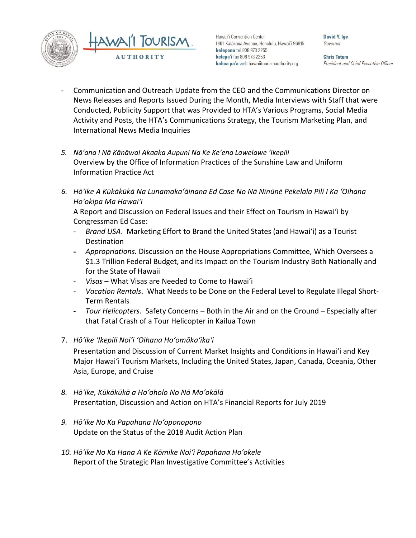

Hawai'i Convention Center 1801 Kalākaua Avenue, Honolulu, Hawai'i 96815 kelepona tel 808 973 2255 kelepa'i fax 808 973 2253 kahua pa'a web hawaiitourismauthority.org

David Y. Ine Governor

**Chris Tatum** President and Chief Executive Officer

- Communication and Outreach Update from the CEO and the Communications Director on News Releases and Reports Issued During the Month, Media Interviews with Staff that were Conducted, Publicity Support that was Provided to HTA's Various Programs, Social Media Activity and Posts, the HTA's Communications Strategy, the Tourism Marketing Plan, and International News Media Inquiries
- *5. Nāʻana I Nā Kānāwai Akaaka Aupuni Na Ke Keʻena Lawelawe ʻIkepili* Overview by the Office of Information Practices of the Sunshine Law and Uniform Information Practice Act
- *6. Hōʻike A Kūkākūkā Na Lunamakaʻāinana Ed Case No Nā Nīnūnē Pekelala Pili I Ka ʻOihana Hoʻokipa Ma Hawaiʻi*

A Report and Discussion on Federal Issues and their Effect on Tourism in Hawai'i by Congressman Ed Case:

- *Brand USA*. Marketing Effort to Brand the United States (and Hawai'i) as a Tourist Destination
- *Appropriations.* Discussion on the House Appropriations Committee, Which Oversees a \$1.3 Trillion Federal Budget, and its Impact on the Tourism Industry Both Nationally and for the State of Hawaii
- *Visas* What Visas are Needed to Come to Hawai'i
- *Vacation Rentals*. What Needs to be Done on the Federal Level to Regulate Illegal Short-Term Rentals
- *Tour Helicopters*. Safety Concerns Both in the Air and on the Ground Especially after that Fatal Crash of a Tour Helicopter in Kailua Town
- 7. *Hōʻike ʻIkepili Noiʻi ʻOihana Hoʻomākaʻikaʻi*

Presentation and Discussion of Current Market Insights and Conditions in Hawai'i and Key Major Hawai'i Tourism Markets, Including the United States, Japan, Canada, Oceania, Other Asia, Europe, and Cruise

- *8. Hōʻike, Kūkākūkā a Hoʻoholo No Nā Moʻokālā* Presentation, Discussion and Action on HTA's Financial Reports for July 2019
- *9. Hōʻike No Ka Papahana Hoʻoponopono* Update on the Status of the 2018 Audit Action Plan
- *10. Hōʻike No Ka Hana A Ke Kōmike Noiʻi Papahana Hoʻokele* Report of the Strategic Plan Investigative Committee's Activities